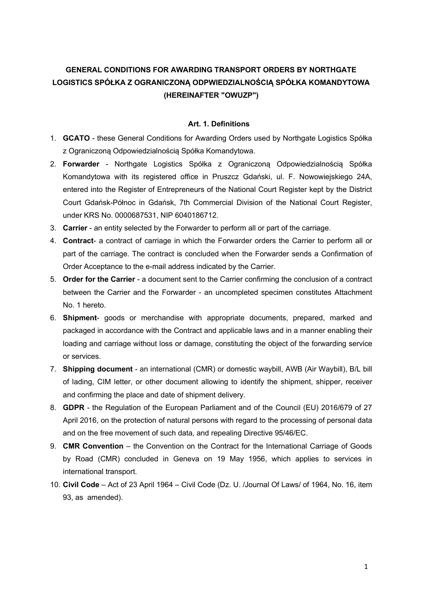# GENERAL CONDITIONS FOR AWARDING TRANSPORT ORDERS BY NORTHGATE LOGISTICS SPÓŁKA Z OGRANICZONĄ ODPWIEDZIALNOŚCIĄ SPÓŁKA KOMANDYTOWA (HEREINAFTER "OWUZP")

#### Art. 1. Definitions

- 1. GCATO these General Conditions for Awarding Orders used by Northgate Logistics Spółka z Ograniczoną Odpowiedzialnością Spółka Komandytowa.
- 2. Forwarder Northgate Logistics Spółka z Ograniczoną Odpowiedzialnością Spółka Komandytowa with its registered office in Pruszcz Gdański, ul. F. Nowowiejskiego 24A, entered into the Register of Entrepreneurs of the National Court Register kept by the District Court Gdańsk-Północ in Gdańsk, 7th Commercial Division of the National Court Register, under KRS No. 0000687531, NIP 6040186712.
- 3. Carrier an entity selected by the Forwarder to perform all or part of the carriage.
- 4. Contract- a contract of carriage in which the Forwarder orders the Carrier to perform all or part of the carriage. The contract is concluded when the Forwarder sends a Confirmation of Order Acceptance to the e-mail address indicated by the Carrier.
- 5. Order for the Carrier a document sent to the Carrier confirming the conclusion of a contract between the Carrier and the Forwarder - an uncompleted specimen constitutes Attachment No. 1 hereto.
- 6. Shipment- goods or merchandise with appropriate documents, prepared, marked and packaged in accordance with the Contract and applicable laws and in a manner enabling their loading and carriage without loss or damage, constituting the object of the forwarding service or services.
- 7. Shipping document an international (CMR) or domestic waybill, AWB (Air Waybill), B/L bill of lading, CIM letter, or other document allowing to identify the shipment, shipper, receiver and confirming the place and date of shipment delivery.
- 8. GDPR the Regulation of the European Parliament and of the Council (EU) 2016/679 of 27 April 2016, on the protection of natural persons with regard to the processing of personal data and on the free movement of such data, and repealing Directive 95/46/EC.
- 9. **CMR Convention** the Convention on the Contract for the International Carriage of Goods by Road (CMR) concluded in Geneva on 19 May 1956, which applies to services in international transport.
- 10. Civil Code Act of 23 April 1964 Civil Code (Dz. U. /Journal Of Laws/ of 1964, No. 16, item 93, as amended).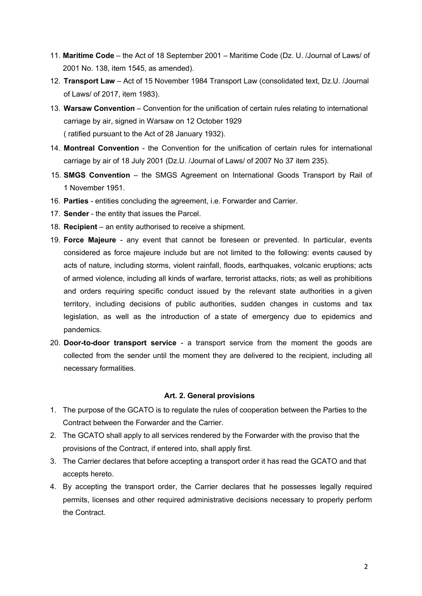- 11. Maritime Code the Act of 18 September 2001 Maritime Code (Dz. U. /Journal of Laws/ of 2001 No. 138, item 1545, as amended).
- 12. Transport Law Act of 15 November 1984 Transport Law (consolidated text, Dz.U. /Journal of Laws/ of 2017, item 1983).
- 13. Warsaw Convention Convention for the unification of certain rules relating to international carriage by air, signed in Warsaw on 12 October 1929 ( ratified pursuant to the Act of 28 January 1932).
- 14. Montreal Convention the Convention for the unification of certain rules for international carriage by air of 18 July 2001 (Dz.U. /Journal of Laws/ of 2007 No 37 item 235).
- 15. SMGS Convention the SMGS Agreement on International Goods Transport by Rail of 1 November 1951.
- 16. Parties entities concluding the agreement, i.e. Forwarder and Carrier.
- 17. Sender the entity that issues the Parcel.
- 18. Recipient an entity authorised to receive a shipment.
- 19. Force Majeure any event that cannot be foreseen or prevented. In particular, events considered as force majeure include but are not limited to the following: events caused by acts of nature, including storms, violent rainfall, floods, earthquakes, volcanic eruptions; acts of armed violence, including all kinds of warfare, terrorist attacks, riots; as well as prohibitions and orders requiring specific conduct issued by the relevant state authorities in a given territory, including decisions of public authorities, sudden changes in customs and tax legislation, as well as the introduction of a state of emergency due to epidemics and pandemics.
- 20. Door-to-door transport service a transport service from the moment the goods are collected from the sender until the moment they are delivered to the recipient, including all necessary formalities.

#### Art. 2. General provisions

- 1. The purpose of the GCATO is to regulate the rules of cooperation between the Parties to the Contract between the Forwarder and the Carrier.
- 2. The GCATO shall apply to all services rendered by the Forwarder with the proviso that the provisions of the Contract, if entered into, shall apply first.
- 3. The Carrier declares that before accepting a transport order it has read the GCATO and that accepts hereto.
- 4. By accepting the transport order, the Carrier declares that he possesses legally required permits, licenses and other required administrative decisions necessary to properly perform the Contract.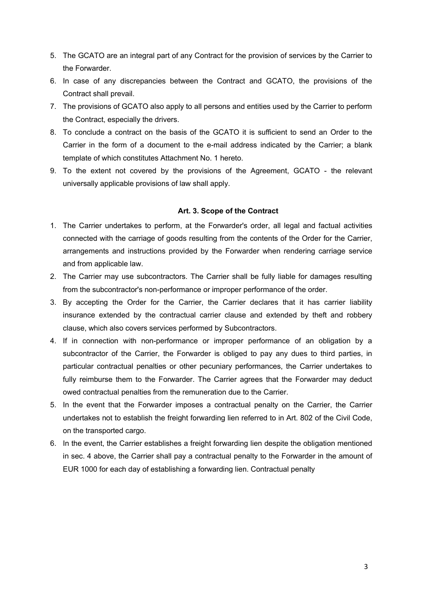- 5. The GCATO are an integral part of any Contract for the provision of services by the Carrier to the Forwarder.
- 6. In case of any discrepancies between the Contract and GCATO, the provisions of the Contract shall prevail.
- 7. The provisions of GCATO also apply to all persons and entities used by the Carrier to perform the Contract, especially the drivers.
- 8. To conclude a contract on the basis of the GCATO it is sufficient to send an Order to the Carrier in the form of a document to the e-mail address indicated by the Carrier; a blank template of which constitutes Attachment No. 1 hereto.
- 9. To the extent not covered by the provisions of the Agreement, GCATO the relevant universally applicable provisions of law shall apply.

#### Art. 3. Scope of the Contract

- 1. The Carrier undertakes to perform, at the Forwarder's order, all legal and factual activities connected with the carriage of goods resulting from the contents of the Order for the Carrier, arrangements and instructions provided by the Forwarder when rendering carriage service and from applicable law.
- 2. The Carrier may use subcontractors. The Carrier shall be fully liable for damages resulting from the subcontractor's non-performance or improper performance of the order.
- 3. By accepting the Order for the Carrier, the Carrier declares that it has carrier liability insurance extended by the contractual carrier clause and extended by theft and robbery clause, which also covers services performed by Subcontractors.
- 4. If in connection with non-performance or improper performance of an obligation by a subcontractor of the Carrier, the Forwarder is obliged to pay any dues to third parties, in particular contractual penalties or other pecuniary performances, the Carrier undertakes to fully reimburse them to the Forwarder. The Carrier agrees that the Forwarder may deduct owed contractual penalties from the remuneration due to the Carrier.
- 5. In the event that the Forwarder imposes a contractual penalty on the Carrier, the Carrier undertakes not to establish the freight forwarding lien referred to in Art. 802 of the Civil Code, on the transported cargo.
- 6. In the event, the Carrier establishes a freight forwarding lien despite the obligation mentioned in sec. 4 above, the Carrier shall pay a contractual penalty to the Forwarder in the amount of EUR 1000 for each day of establishing a forwarding lien. Contractual penalty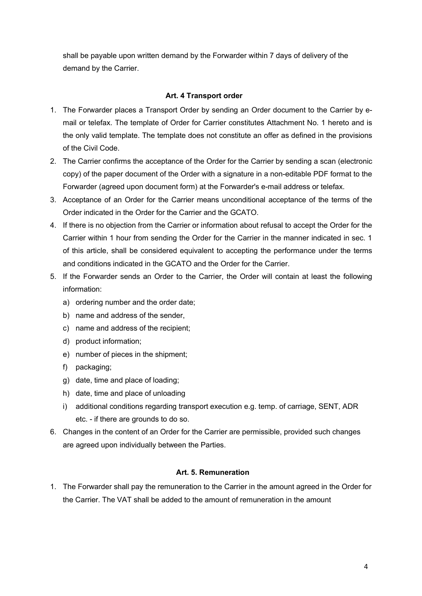shall be payable upon written demand by the Forwarder within 7 days of delivery of the demand by the Carrier.

## Art. 4 Transport order

- 1. The Forwarder places a Transport Order by sending an Order document to the Carrier by email or telefax. The template of Order for Carrier constitutes Attachment No. 1 hereto and is the only valid template. The template does not constitute an offer as defined in the provisions of the Civil Code.
- 2. The Carrier confirms the acceptance of the Order for the Carrier by sending a scan (electronic copy) of the paper document of the Order with a signature in a non-editable PDF format to the Forwarder (agreed upon document form) at the Forwarder's e-mail address or telefax.
- 3. Acceptance of an Order for the Carrier means unconditional acceptance of the terms of the Order indicated in the Order for the Carrier and the GCATO.
- 4. If there is no objection from the Carrier or information about refusal to accept the Order for the Carrier within 1 hour from sending the Order for the Carrier in the manner indicated in sec. 1 of this article, shall be considered equivalent to accepting the performance under the terms and conditions indicated in the GCATO and the Order for the Carrier.
- 5. If the Forwarder sends an Order to the Carrier, the Order will contain at least the following information:
	- a) ordering number and the order date;
	- b) name and address of the sender,
	- c) name and address of the recipient;
	- d) product information;
	- e) number of pieces in the shipment;
	- f) packaging;
	- g) date, time and place of loading;
	- h) date, time and place of unloading
	- i) additional conditions regarding transport execution e.g. temp. of carriage, SENT, ADR etc. - if there are grounds to do so.
- 6. Changes in the content of an Order for the Carrier are permissible, provided such changes are agreed upon individually between the Parties.

## Art. 5. Remuneration

1. The Forwarder shall pay the remuneration to the Carrier in the amount agreed in the Order for the Carrier. The VAT shall be added to the amount of remuneration in the amount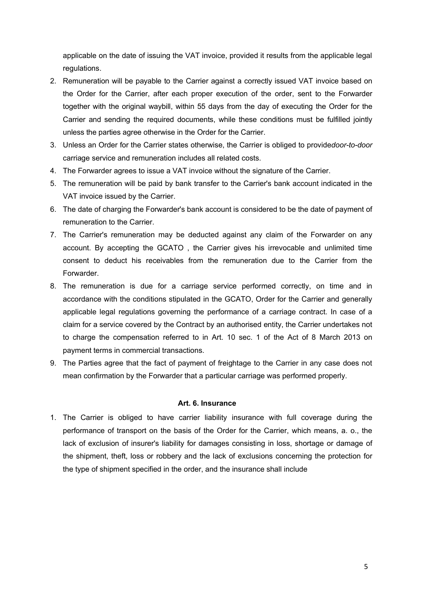applicable on the date of issuing the VAT invoice, provided it results from the applicable legal regulations.

- 2. Remuneration will be payable to the Carrier against a correctly issued VAT invoice based on the Order for the Carrier, after each proper execution of the order, sent to the Forwarder together with the original waybill, within 55 days from the day of executing the Order for the Carrier and sending the required documents, while these conditions must be fulfilled jointly unless the parties agree otherwise in the Order for the Carrier.
- 3. Unless an Order for the Carrier states otherwise, the Carrier is obliged to providedoor-to-door carriage service and remuneration includes all related costs.
- 4. The Forwarder agrees to issue a VAT invoice without the signature of the Carrier.
- 5. The remuneration will be paid by bank transfer to the Carrier's bank account indicated in the VAT invoice issued by the Carrier.
- 6. The date of charging the Forwarder's bank account is considered to be the date of payment of remuneration to the Carrier.
- 7. The Carrier's remuneration may be deducted against any claim of the Forwarder on any account. By accepting the GCATO , the Carrier gives his irrevocable and unlimited time consent to deduct his receivables from the remuneration due to the Carrier from the Forwarder.
- 8. The remuneration is due for a carriage service performed correctly, on time and in accordance with the conditions stipulated in the GCATO, Order for the Carrier and generally applicable legal regulations governing the performance of a carriage contract. In case of a claim for a service covered by the Contract by an authorised entity, the Carrier undertakes not to charge the compensation referred to in Art. 10 sec. 1 of the Act of 8 March 2013 on payment terms in commercial transactions.
- 9. The Parties agree that the fact of payment of freightage to the Carrier in any case does not mean confirmation by the Forwarder that a particular carriage was performed properly.

## Art. 6. Insurance

1. The Carrier is obliged to have carrier liability insurance with full coverage during the performance of transport on the basis of the Order for the Carrier, which means, a. o., the lack of exclusion of insurer's liability for damages consisting in loss, shortage or damage of the shipment, theft, loss or robbery and the lack of exclusions concerning the protection for the type of shipment specified in the order, and the insurance shall include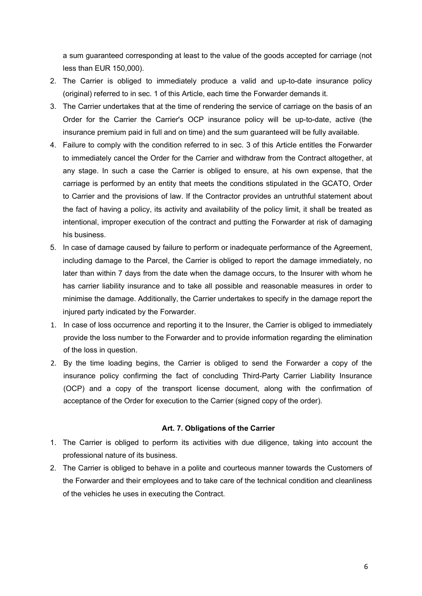a sum guaranteed corresponding at least to the value of the goods accepted for carriage (not less than EUR 150,000).

- 2. The Carrier is obliged to immediately produce a valid and up-to-date insurance policy (original) referred to in sec. 1 of this Article, each time the Forwarder demands it.
- 3. The Carrier undertakes that at the time of rendering the service of carriage on the basis of an Order for the Carrier the Carrier's OCP insurance policy will be up-to-date, active (the insurance premium paid in full and on time) and the sum guaranteed will be fully available.
- 4. Failure to comply with the condition referred to in sec. 3 of this Article entitles the Forwarder to immediately cancel the Order for the Carrier and withdraw from the Contract altogether, at any stage. In such a case the Carrier is obliged to ensure, at his own expense, that the carriage is performed by an entity that meets the conditions stipulated in the GCATO, Order to Carrier and the provisions of law. If the Contractor provides an untruthful statement about the fact of having a policy, its activity and availability of the policy limit, it shall be treated as intentional, improper execution of the contract and putting the Forwarder at risk of damaging his business.
- 5. In case of damage caused by failure to perform or inadequate performance of the Agreement, including damage to the Parcel, the Carrier is obliged to report the damage immediately, no later than within 7 days from the date when the damage occurs, to the Insurer with whom he has carrier liability insurance and to take all possible and reasonable measures in order to minimise the damage. Additionally, the Carrier undertakes to specify in the damage report the injured party indicated by the Forwarder.
- 1. In case of loss occurrence and reporting it to the Insurer, the Carrier is obliged to immediately provide the loss number to the Forwarder and to provide information regarding the elimination of the loss in question.
- 2. By the time loading begins, the Carrier is obliged to send the Forwarder a copy of the insurance policy confirming the fact of concluding Third-Party Carrier Liability Insurance (OCP) and a copy of the transport license document, along with the confirmation of acceptance of the Order for execution to the Carrier (signed copy of the order).

#### Art. 7. Obligations of the Carrier

- 1. The Carrier is obliged to perform its activities with due diligence, taking into account the professional nature of its business.
- 2. The Carrier is obliged to behave in a polite and courteous manner towards the Customers of the Forwarder and their employees and to take care of the technical condition and cleanliness of the vehicles he uses in executing the Contract.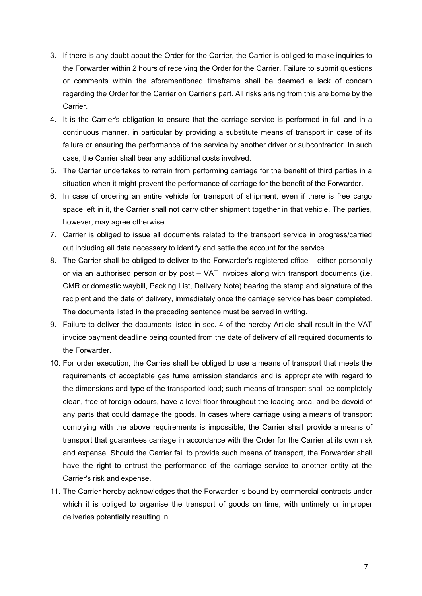- 3. If there is any doubt about the Order for the Carrier, the Carrier is obliged to make inquiries to the Forwarder within 2 hours of receiving the Order for the Carrier. Failure to submit questions or comments within the aforementioned timeframe shall be deemed a lack of concern regarding the Order for the Carrier on Carrier's part. All risks arising from this are borne by the Carrier.
- 4. It is the Carrier's obligation to ensure that the carriage service is performed in full and in a continuous manner, in particular by providing a substitute means of transport in case of its failure or ensuring the performance of the service by another driver or subcontractor. In such case, the Carrier shall bear any additional costs involved.
- 5. The Carrier undertakes to refrain from performing carriage for the benefit of third parties in a situation when it might prevent the performance of carriage for the benefit of the Forwarder.
- 6. In case of ordering an entire vehicle for transport of shipment, even if there is free cargo space left in it, the Carrier shall not carry other shipment together in that vehicle. The parties, however, may agree otherwise.
- 7. Carrier is obliged to issue all documents related to the transport service in progress/carried out including all data necessary to identify and settle the account for the service.
- 8. The Carrier shall be obliged to deliver to the Forwarder's registered office either personally or via an authorised person or by post – VAT invoices along with transport documents (i.e. CMR or domestic waybill, Packing List, Delivery Note) bearing the stamp and signature of the recipient and the date of delivery, immediately once the carriage service has been completed. The documents listed in the preceding sentence must be served in writing.
- 9. Failure to deliver the documents listed in sec. 4 of the hereby Article shall result in the VAT invoice payment deadline being counted from the date of delivery of all required documents to the Forwarder.
- 10. For order execution, the Carries shall be obliged to use a means of transport that meets the requirements of acceptable gas fume emission standards and is appropriate with regard to the dimensions and type of the transported load; such means of transport shall be completely clean, free of foreign odours, have a level floor throughout the loading area, and be devoid of any parts that could damage the goods. In cases where carriage using a means of transport complying with the above requirements is impossible, the Carrier shall provide a means of transport that guarantees carriage in accordance with the Order for the Carrier at its own risk and expense. Should the Carrier fail to provide such means of transport, the Forwarder shall have the right to entrust the performance of the carriage service to another entity at the Carrier's risk and expense.
- 11. The Carrier hereby acknowledges that the Forwarder is bound by commercial contracts under which it is obliged to organise the transport of goods on time, with untimely or improper deliveries potentially resulting in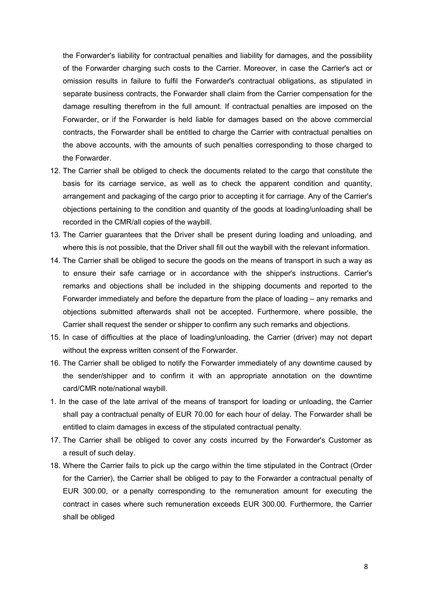the Forwarder's liability for contractual penalties and liability for damages, and the possibility of the Forwarder charging such costs to the Carrier. Moreover, in case the Carrier's act or omission results in failure to fulfil the Forwarder's contractual obligations, as stipulated in separate business contracts, the Forwarder shall claim from the Carrier compensation for the damage resulting therefrom in the full amount. If contractual penalties are imposed on the Forwarder, or if the Forwarder is held liable for damages based on the above commercial contracts, the Forwarder shall be entitled to charge the Carrier with contractual penalties on the above accounts, with the amounts of such penalties corresponding to those charged to the Forwarder.

- 12. The Carrier shall be obliged to check the documents related to the cargo that constitute the basis for its carriage service, as well as to check the apparent condition and quantity, arrangement and packaging of the cargo prior to accepting it for carriage. Any of the Carrier's objections pertaining to the condition and quantity of the goods at loading/unloading shall be recorded in the CMR/all copies of the waybill.
- 13. The Carrier guarantees that the Driver shall be present during loading and unloading, and where this is not possible, that the Driver shall fill out the waybill with the relevant information.
- 14. The Carrier shall be obliged to secure the goods on the means of transport in such a way as to ensure their safe carriage or in accordance with the shipper's instructions. Carrier's remarks and objections shall be included in the shipping documents and reported to the Forwarder immediately and before the departure from the place of loading – any remarks and objections submitted afterwards shall not be accepted. Furthermore, where possible, the Carrier shall request the sender or shipper to confirm any such remarks and objections.
- 15. In case of difficulties at the place of loading/unloading, the Carrier (driver) may not depart without the express written consent of the Forwarder.
- 16. The Carrier shall be obliged to notify the Forwarder immediately of any downtime caused by the sender/shipper and to confirm it with an appropriate annotation on the downtime card/CMR note/national waybill.
- 1. In the case of the late arrival of the means of transport for loading or unloading, the Carrier shall pay a contractual penalty of EUR 70.00 for each hour of delay. The Forwarder shall be entitled to claim damages in excess of the stipulated contractual penalty.
- 17. The Carrier shall be obliged to cover any costs incurred by the Forwarder's Customer as a result of such delay.
- 18. Where the Carrier fails to pick up the cargo within the time stipulated in the Contract (Order for the Carrier), the Carrier shall be obliged to pay to the Forwarder a contractual penalty of EUR 300.00, or a penalty corresponding to the remuneration amount for executing the contract in cases where such remuneration exceeds EUR 300.00. Furthermore, the Carrier shall be obliged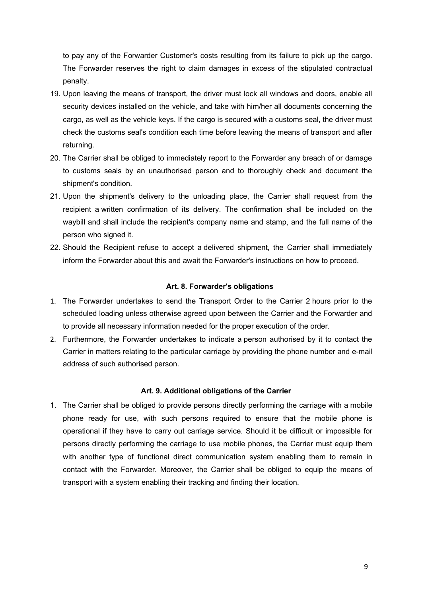to pay any of the Forwarder Customer's costs resulting from its failure to pick up the cargo. The Forwarder reserves the right to claim damages in excess of the stipulated contractual penalty.

- 19. Upon leaving the means of transport, the driver must lock all windows and doors, enable all security devices installed on the vehicle, and take with him/her all documents concerning the cargo, as well as the vehicle keys. If the cargo is secured with a customs seal, the driver must check the customs seal's condition each time before leaving the means of transport and after returning.
- 20. The Carrier shall be obliged to immediately report to the Forwarder any breach of or damage to customs seals by an unauthorised person and to thoroughly check and document the shipment's condition.
- 21. Upon the shipment's delivery to the unloading place, the Carrier shall request from the recipient a written confirmation of its delivery. The confirmation shall be included on the waybill and shall include the recipient's company name and stamp, and the full name of the person who signed it.
- 22. Should the Recipient refuse to accept a delivered shipment, the Carrier shall immediately inform the Forwarder about this and await the Forwarder's instructions on how to proceed.

## Art. 8. Forwarder's obligations

- 1. The Forwarder undertakes to send the Transport Order to the Carrier 2 hours prior to the scheduled loading unless otherwise agreed upon between the Carrier and the Forwarder and to provide all necessary information needed for the proper execution of the order.
- 2. Furthermore, the Forwarder undertakes to indicate a person authorised by it to contact the Carrier in matters relating to the particular carriage by providing the phone number and e-mail address of such authorised person.

#### Art. 9. Additional obligations of the Carrier

1. The Carrier shall be obliged to provide persons directly performing the carriage with a mobile phone ready for use, with such persons required to ensure that the mobile phone is operational if they have to carry out carriage service. Should it be difficult or impossible for persons directly performing the carriage to use mobile phones, the Carrier must equip them with another type of functional direct communication system enabling them to remain in contact with the Forwarder. Moreover, the Carrier shall be obliged to equip the means of transport with a system enabling their tracking and finding their location.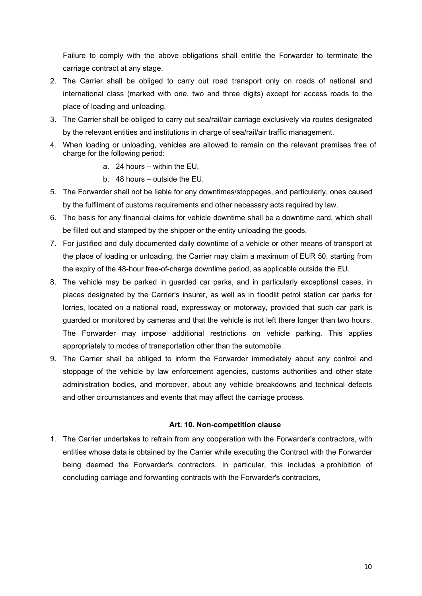Failure to comply with the above obligations shall entitle the Forwarder to terminate the carriage contract at any stage.

- 2. The Carrier shall be obliged to carry out road transport only on roads of national and international class (marked with one, two and three digits) except for access roads to the place of loading and unloading.
- 3. The Carrier shall be obliged to carry out sea/rail/air carriage exclusively via routes designated by the relevant entities and institutions in charge of sea/rail/air traffic management.
- 4. When loading or unloading, vehicles are allowed to remain on the relevant premises free of charge for the following period:
	- a. 24 hours within the EU,
	- b. 48 hours outside the EU.
- 5. The Forwarder shall not be liable for any downtimes/stoppages, and particularly, ones caused by the fulfilment of customs requirements and other necessary acts required by law.
- 6. The basis for any financial claims for vehicle downtime shall be a downtime card, which shall be filled out and stamped by the shipper or the entity unloading the goods.
- 7. For justified and duly documented daily downtime of a vehicle or other means of transport at the place of loading or unloading, the Carrier may claim a maximum of EUR 50, starting from the expiry of the 48-hour free-of-charge downtime period, as applicable outside the EU.
- 8. The vehicle may be parked in guarded car parks, and in particularly exceptional cases, in places designated by the Carrier's insurer, as well as in floodlit petrol station car parks for lorries, located on a national road, expressway or motorway, provided that such car park is guarded or monitored by cameras and that the vehicle is not left there longer than two hours. The Forwarder may impose additional restrictions on vehicle parking. This applies appropriately to modes of transportation other than the automobile.
- 9. The Carrier shall be obliged to inform the Forwarder immediately about any control and stoppage of the vehicle by law enforcement agencies, customs authorities and other state administration bodies, and moreover, about any vehicle breakdowns and technical defects and other circumstances and events that may affect the carriage process.

## Art. 10. Non-competition clause

1. The Carrier undertakes to refrain from any cooperation with the Forwarder's contractors, with entities whose data is obtained by the Carrier while executing the Contract with the Forwarder being deemed the Forwarder's contractors. In particular, this includes a prohibition of concluding carriage and forwarding contracts with the Forwarder's contractors,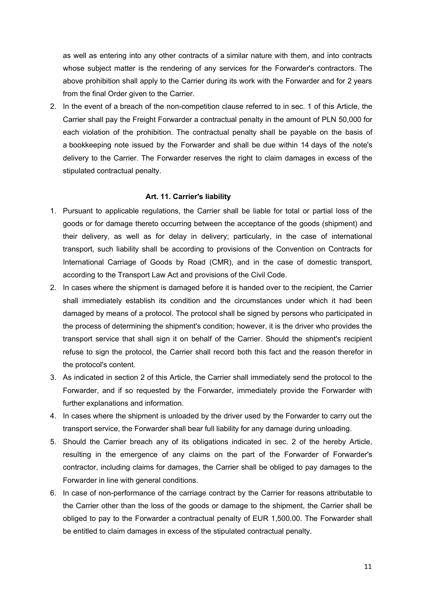as well as entering into any other contracts of a similar nature with them, and into contracts whose subject matter is the rendering of any services for the Forwarder's contractors. The above prohibition shall apply to the Carrier during its work with the Forwarder and for 2 years from the final Order given to the Carrier.

2. In the event of a breach of the non-competition clause referred to in sec. 1 of this Article, the Carrier shall pay the Freight Forwarder a contractual penalty in the amount of PLN 50,000 for each violation of the prohibition. The contractual penalty shall be payable on the basis of a bookkeeping note issued by the Forwarder and shall be due within 14 days of the note's delivery to the Carrier. The Forwarder reserves the right to claim damages in excess of the stipulated contractual penalty.

#### Art. 11. Carrier's liability

- 1. Pursuant to applicable regulations, the Carrier shall be liable for total or partial loss of the goods or for damage thereto occurring between the acceptance of the goods (shipment) and their delivery, as well as for delay in delivery; particularly, in the case of international transport, such liability shall be according to provisions of the Convention on Contracts for International Carriage of Goods by Road (CMR), and in the case of domestic transport, according to the Transport Law Act and provisions of the Civil Code.
- 2. In cases where the shipment is damaged before it is handed over to the recipient, the Carrier shall immediately establish its condition and the circumstances under which it had been damaged by means of a protocol. The protocol shall be signed by persons who participated in the process of determining the shipment's condition; however, it is the driver who provides the transport service that shall sign it on behalf of the Carrier. Should the shipment's recipient refuse to sign the protocol, the Carrier shall record both this fact and the reason therefor in the protocol's content.
- 3. As indicated in section 2 of this Article, the Carrier shall immediately send the protocol to the Forwarder, and if so requested by the Forwarder, immediately provide the Forwarder with further explanations and information.
- 4. In cases where the shipment is unloaded by the driver used by the Forwarder to carry out the transport service, the Forwarder shall bear full liability for any damage during unloading.
- 5. Should the Carrier breach any of its obligations indicated in sec. 2 of the hereby Article, resulting in the emergence of any claims on the part of the Forwarder of Forwarder's contractor, including claims for damages, the Carrier shall be obliged to pay damages to the Forwarder in line with general conditions.
- 6. In case of non-performance of the carriage contract by the Carrier for reasons attributable to the Carrier other than the loss of the goods or damage to the shipment, the Carrier shall be obliged to pay to the Forwarder a contractual penalty of EUR 1,500.00. The Forwarder shall be entitled to claim damages in excess of the stipulated contractual penalty.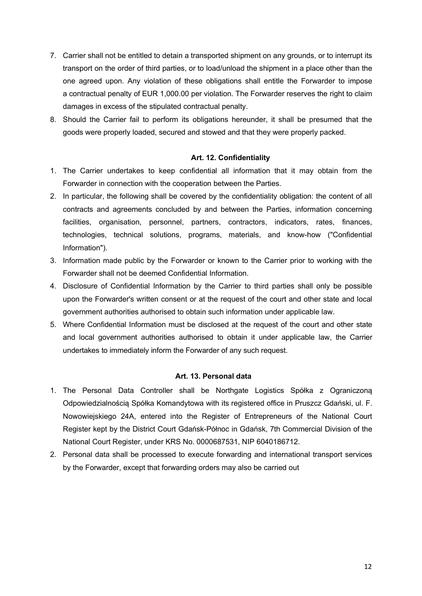- 7. Carrier shall not be entitled to detain a transported shipment on any grounds, or to interrupt its transport on the order of third parties, or to load/unload the shipment in a place other than the one agreed upon. Any violation of these obligations shall entitle the Forwarder to impose a contractual penalty of EUR 1,000.00 per violation. The Forwarder reserves the right to claim damages in excess of the stipulated contractual penalty.
- 8. Should the Carrier fail to perform its obligations hereunder, it shall be presumed that the goods were properly loaded, secured and stowed and that they were properly packed.

## Art. 12. Confidentiality

- 1. The Carrier undertakes to keep confidential all information that it may obtain from the Forwarder in connection with the cooperation between the Parties.
- 2. In particular, the following shall be covered by the confidentiality obligation: the content of all contracts and agreements concluded by and between the Parties, information concerning facilities, organisation, personnel, partners, contractors, indicators, rates, finances, technologies, technical solutions, programs, materials, and know-how ("Confidential Information").
- 3. Information made public by the Forwarder or known to the Carrier prior to working with the Forwarder shall not be deemed Confidential Information.
- 4. Disclosure of Confidential Information by the Carrier to third parties shall only be possible upon the Forwarder's written consent or at the request of the court and other state and local government authorities authorised to obtain such information under applicable law.
- 5. Where Confidential Information must be disclosed at the request of the court and other state and local government authorities authorised to obtain it under applicable law, the Carrier undertakes to immediately inform the Forwarder of any such request.

## Art. 13. Personal data

- 1. The Personal Data Controller shall be Northgate Logistics Spółka z Ograniczoną Odpowiedzialnością Spółka Komandytowa with its registered office in Pruszcz Gdański, ul. F. Nowowiejskiego 24A, entered into the Register of Entrepreneurs of the National Court Register kept by the District Court Gdańsk-Północ in Gdańsk, 7th Commercial Division of the National Court Register, under KRS No. 0000687531, NIP 6040186712.
- 2. Personal data shall be processed to execute forwarding and international transport services by the Forwarder, except that forwarding orders may also be carried out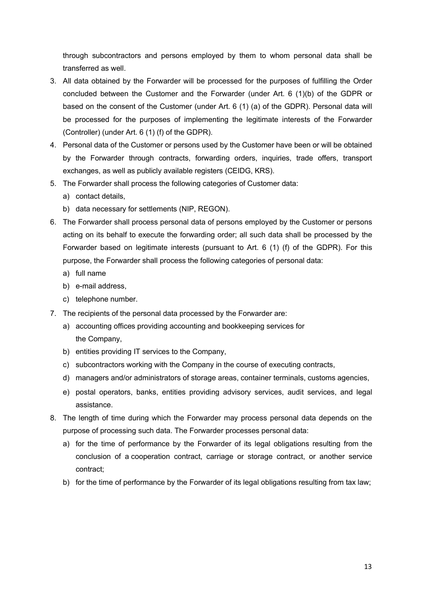through subcontractors and persons employed by them to whom personal data shall be transferred as well.

- 3. All data obtained by the Forwarder will be processed for the purposes of fulfilling the Order concluded between the Customer and the Forwarder (under Art. 6 (1)(b) of the GDPR or based on the consent of the Customer (under Art. 6 (1) (a) of the GDPR). Personal data will be processed for the purposes of implementing the legitimate interests of the Forwarder (Controller) (under Art. 6 (1) (f) of the GDPR).
- 4. Personal data of the Customer or persons used by the Customer have been or will be obtained by the Forwarder through contracts, forwarding orders, inquiries, trade offers, transport exchanges, as well as publicly available registers (CEIDG, KRS).
- 5. The Forwarder shall process the following categories of Customer data:
	- a) contact details,
	- b) data necessary for settlements (NIP, REGON).
- 6. The Forwarder shall process personal data of persons employed by the Customer or persons acting on its behalf to execute the forwarding order; all such data shall be processed by the Forwarder based on legitimate interests (pursuant to Art. 6 (1) (f) of the GDPR). For this purpose, the Forwarder shall process the following categories of personal data:
	- a) full name
	- b) e-mail address,
	- c) telephone number.
- 7. The recipients of the personal data processed by the Forwarder are:
	- a) accounting offices providing accounting and bookkeeping services for the Company,
	- b) entities providing IT services to the Company,
	- c) subcontractors working with the Company in the course of executing contracts,
	- d) managers and/or administrators of storage areas, container terminals, customs agencies,
	- e) postal operators, banks, entities providing advisory services, audit services, and legal assistance.
- 8. The length of time during which the Forwarder may process personal data depends on the purpose of processing such data. The Forwarder processes personal data:
	- a) for the time of performance by the Forwarder of its legal obligations resulting from the conclusion of a cooperation contract, carriage or storage contract, or another service contract;
	- b) for the time of performance by the Forwarder of its legal obligations resulting from tax law;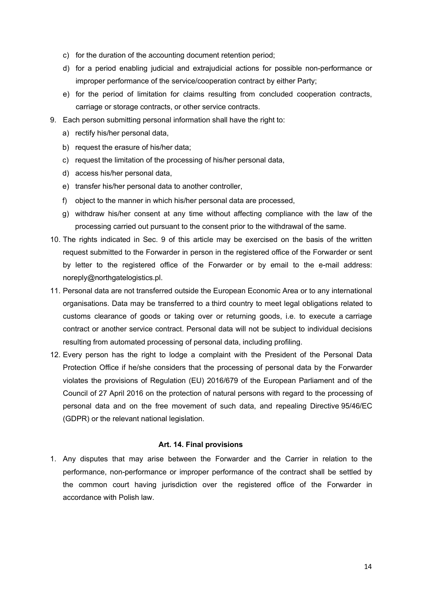- c) for the duration of the accounting document retention period;
- d) for a period enabling judicial and extrajudicial actions for possible non-performance or improper performance of the service/cooperation contract by either Party;
- e) for the period of limitation for claims resulting from concluded cooperation contracts, carriage or storage contracts, or other service contracts.
- 9. Each person submitting personal information shall have the right to:
	- a) rectify his/her personal data,
	- b) request the erasure of his/her data;
	- c) request the limitation of the processing of his/her personal data,
	- d) access his/her personal data,
	- e) transfer his/her personal data to another controller,
	- f) object to the manner in which his/her personal data are processed,
	- g) withdraw his/her consent at any time without affecting compliance with the law of the processing carried out pursuant to the consent prior to the withdrawal of the same.
- 10. The rights indicated in Sec. 9 of this article may be exercised on the basis of the written request submitted to the Forwarder in person in the registered office of the Forwarder or sent by letter to the registered office of the Forwarder or by email to the e-mail address: noreply@northgatelogistics.pl.
- 11. Personal data are not transferred outside the European Economic Area or to any international organisations. Data may be transferred to a third country to meet legal obligations related to customs clearance of goods or taking over or returning goods, i.e. to execute a carriage contract or another service contract. Personal data will not be subject to individual decisions resulting from automated processing of personal data, including profiling.
- 12. Every person has the right to lodge a complaint with the President of the Personal Data Protection Office if he/she considers that the processing of personal data by the Forwarder violates the provisions of Regulation (EU) 2016/679 of the European Parliament and of the Council of 27 April 2016 on the protection of natural persons with regard to the processing of personal data and on the free movement of such data, and repealing Directive 95/46/EC (GDPR) or the relevant national legislation.

#### Art. 14. Final provisions

1. Any disputes that may arise between the Forwarder and the Carrier in relation to the performance, non-performance or improper performance of the contract shall be settled by the common court having jurisdiction over the registered office of the Forwarder in accordance with Polish law.